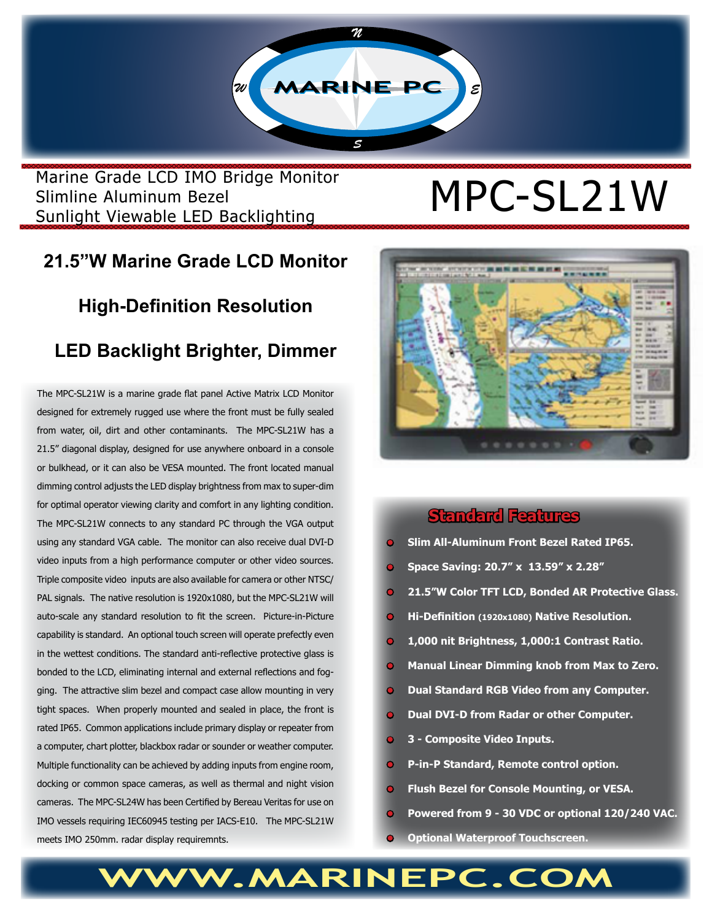

Marine Grade LCD IMO Bridge Monitor<br>Slimline Aluminum Bezel<br>MPC-SL21W Slimline Aluminum Bezel Sunlight Viewable LED Backlighting

## **21.5"W Marine Grade LCD Monitor**

## **High-Definition Resolution**

## **LED Backlight Brighter, Dimmer**

The MPC-SL21W is a marine grade flat panel Active Matrix LCD Monitor designed for extremely rugged use where the front must be fully sealed from water, oil, dirt and other contaminants. The MPC-SL21W has a 21.5" diagonal display, designed for use anywhere onboard in a console or bulkhead, or it can also be VESA mounted. The front located manual dimming control adjusts the LED display brightness from max to super-dim for optimal operator viewing clarity and comfort in any lighting condition. The MPC-SL21W connects to any standard PC through the VGA output using any standard VGA cable. The monitor can also receive dual DVI-D video inputs from a high performance computer or other video sources. Triple composite video inputs are also available for camera or other NTSC/ PAL signals. The native resolution is 1920x1080, but the MPC-SL21W will auto-scale any standard resolution to fit the screen. Picture-in-Picture capability is standard. An optional touch screen will operate prefectly even in the wettest conditions. The standard anti-reflective protective glass is bonded to the LCD, eliminating internal and external reflections and fogging. The attractive slim bezel and compact case allow mounting in very tight spaces. When properly mounted and sealed in place, the front is rated IP65. Common applications include primary display or repeater from a computer, chart plotter, blackbox radar or sounder or weather computer. Multiple functionality can be achieved by adding inputs from engine room, docking or common space cameras, as well as thermal and night vision cameras. The MPC-SL24W has been Certified by Bereau Veritas for use on IMO vessels requiring IEC60945 testing per IACS-E10. The MPC-SL21W meets IMO 250mm. radar display requiremnts.



#### **Standard Features**

- **• Slim All-Aluminum Front Bezel Rated IP65.**
- **• Space Saving: 20.7" x 13.59" x 2.28"**
- **• 21.5"W Color TFT LCD, Bonded AR Protective Glass.**
- **• Hi-Definition (1920x1080) Native Resolution.**
- **• 1,000 nit Brightness, 1,000:1 Contrast Ratio.**
- **• Manual Linear Dimming knob from Max to Zero.**
- **Dual Standard RGB Video from any Computer.**
- **• Dual DVI-D from Radar or other Computer.**
- **• 3 Composite Video Inputs.**
- **• P-in-P Standard, Remote control option.**
- **• Flush Bezel for Console Mounting, or VESA.**
- **• Powered from 9 30 VDC or optional 120/240 VAC.**
- **• Optional Waterproof Touchscreen.**

**WWW.MARINEPC.COM**